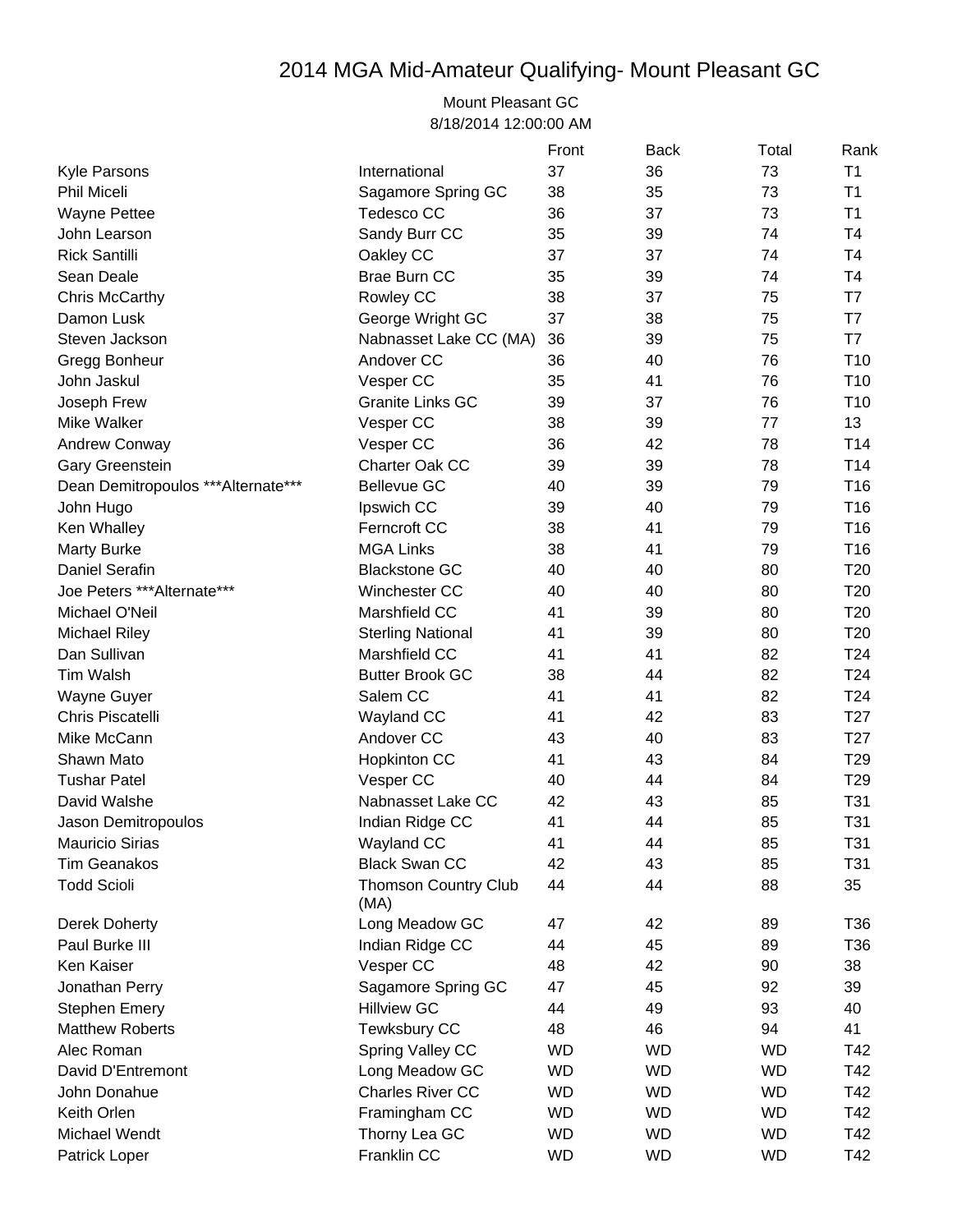## 2014 MGA Mid-Amateur Qualifying- Mount Pleasant GC

## Mount Pleasant GC 8/18/2014 12:00:00 AM

|                                    |                                     | Front     | <b>Back</b> | Total     | Rank            |
|------------------------------------|-------------------------------------|-----------|-------------|-----------|-----------------|
| <b>Kyle Parsons</b>                | International                       | 37        | 36          | 73        | T1              |
| <b>Phil Miceli</b>                 | Sagamore Spring GC                  | 38        | 35          | 73        | T1              |
| <b>Wayne Pettee</b>                | Tedesco CC                          | 36        | 37          | 73        | T1              |
| John Learson                       | Sandy Burr CC                       | 35        | 39          | 74        | T <sub>4</sub>  |
| <b>Rick Santilli</b>               | Oakley CC                           | 37        | 37          | 74        | T <sub>4</sub>  |
| Sean Deale                         | <b>Brae Burn CC</b>                 | 35        | 39          | 74        | T <sub>4</sub>  |
| Chris McCarthy                     | Rowley CC                           | 38        | 37          | 75        | T7              |
| Damon Lusk                         | George Wright GC                    | 37        | 38          | 75        | T7              |
| Steven Jackson                     | Nabnasset Lake CC (MA)              | 36        | 39          | 75        | T7              |
| Gregg Bonheur                      | Andover CC                          | 36        | 40          | 76        | T <sub>10</sub> |
| John Jaskul                        | Vesper CC                           | 35        | 41          | 76        | T <sub>10</sub> |
| Joseph Frew                        | <b>Granite Links GC</b>             | 39        | 37          | 76        | T <sub>10</sub> |
| Mike Walker                        | Vesper CC                           | 38        | 39          | 77        | 13              |
| Andrew Conway                      | Vesper CC                           | 36        | 42          | 78        | T14             |
| Gary Greenstein                    | Charter Oak CC                      | 39        | 39          | 78        | T14             |
| Dean Demitropoulos ***Alternate*** | <b>Bellevue GC</b>                  | 40        | 39          | 79        | T16             |
| John Hugo                          | Ipswich CC                          | 39        | 40          | 79        | T16             |
| Ken Whalley                        | Ferncroft CC                        | 38        | 41          | 79        | T16             |
| <b>Marty Burke</b>                 | <b>MGA Links</b>                    | 38        | 41          | 79        | T16             |
| <b>Daniel Serafin</b>              | <b>Blackstone GC</b>                | 40        | 40          | 80        | T <sub>20</sub> |
| Joe Peters *** Alternate***        | Winchester CC                       | 40        | 40          | 80        | T <sub>20</sub> |
| Michael O'Neil                     | Marshfield CC                       | 41        | 39          | 80        | T <sub>20</sub> |
| <b>Michael Riley</b>               | <b>Sterling National</b>            | 41        | 39          | 80        | T <sub>20</sub> |
| Dan Sullivan                       | Marshfield CC                       | 41        | 41          | 82        | T24             |
| <b>Tim Walsh</b>                   | <b>Butter Brook GC</b>              | 38        | 44          | 82        | T24             |
| Wayne Guyer                        | Salem CC                            | 41        | 41          | 82        | T24             |
| Chris Piscatelli                   | Wayland CC                          | 41        | 42          | 83        | T <sub>27</sub> |
| Mike McCann                        | Andover CC                          | 43        | 40          | 83        | T <sub>27</sub> |
| Shawn Mato                         | <b>Hopkinton CC</b>                 | 41        | 43          | 84        | T <sub>29</sub> |
| <b>Tushar Patel</b>                | Vesper CC                           | 40        | 44          | 84        | T <sub>29</sub> |
| David Walshe                       | Nabnasset Lake CC                   | 42        | 43          | 85        | T31             |
| Jason Demitropoulos                | Indian Ridge CC                     | 41        | 44          | 85        | T31             |
| Mauricio Sirias                    | Wayland CC                          | 41        | 44          | 85        | T31             |
| <b>Tim Geanakos</b>                | <b>Black Swan CC</b>                | 42        | 43          | 85        | T31             |
| <b>Todd Scioli</b>                 | <b>Thomson Country Club</b><br>(MA) | 44        | 44          | 88        | 35              |
| Derek Doherty                      | Long Meadow GC                      | 47        | 42          | 89        | T36             |
| Paul Burke III                     | Indian Ridge CC                     | 44        | 45          | 89        | T36             |
| Ken Kaiser                         | Vesper CC                           | 48        | 42          | 90        | 38              |
| Jonathan Perry                     | Sagamore Spring GC                  | 47        | 45          | 92        | 39              |
| <b>Stephen Emery</b>               | <b>Hillview GC</b>                  | 44        | 49          | 93        | 40              |
| <b>Matthew Roberts</b>             | <b>Tewksbury CC</b>                 | 48        | 46          | 94        | 41              |
| Alec Roman                         | Spring Valley CC                    | <b>WD</b> | <b>WD</b>   | <b>WD</b> | T42             |
| David D'Entremont                  | Long Meadow GC                      | <b>WD</b> | <b>WD</b>   | <b>WD</b> | T42             |
| John Donahue                       | <b>Charles River CC</b>             | <b>WD</b> | <b>WD</b>   | <b>WD</b> | T42             |
| Keith Orlen                        | Framingham CC                       | <b>WD</b> | <b>WD</b>   | <b>WD</b> | T42             |
| Michael Wendt                      | Thorny Lea GC                       | <b>WD</b> | <b>WD</b>   | <b>WD</b> | T42             |
| Patrick Loper                      | Franklin CC                         | <b>WD</b> | <b>WD</b>   | <b>WD</b> | T42             |